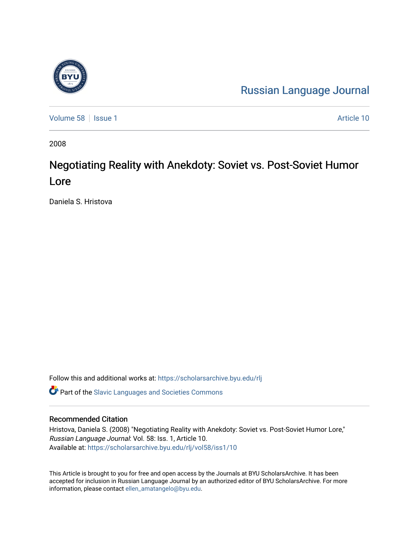

[Russian Language Journal](https://scholarsarchive.byu.edu/rlj) 

[Volume 58](https://scholarsarchive.byu.edu/rlj/vol58) | [Issue 1](https://scholarsarchive.byu.edu/rlj/vol58/iss1) Article 10

2008

# Negotiating Reality with Anekdoty: Soviet vs. Post-Soviet Humor Lore

Daniela S. Hristova

Follow this and additional works at: [https://scholarsarchive.byu.edu/rlj](https://scholarsarchive.byu.edu/rlj?utm_source=scholarsarchive.byu.edu%2Frlj%2Fvol58%2Fiss1%2F10&utm_medium=PDF&utm_campaign=PDFCoverPages)

**C** Part of the Slavic Languages and Societies Commons

#### Recommended Citation

Hristova, Daniela S. (2008) "Negotiating Reality with Anekdoty: Soviet vs. Post-Soviet Humor Lore," Russian Language Journal: Vol. 58: Iss. 1, Article 10. Available at: [https://scholarsarchive.byu.edu/rlj/vol58/iss1/10](https://scholarsarchive.byu.edu/rlj/vol58/iss1/10?utm_source=scholarsarchive.byu.edu%2Frlj%2Fvol58%2Fiss1%2F10&utm_medium=PDF&utm_campaign=PDFCoverPages)

This Article is brought to you for free and open access by the Journals at BYU ScholarsArchive. It has been accepted for inclusion in Russian Language Journal by an authorized editor of BYU ScholarsArchive. For more information, please contact [ellen\\_amatangelo@byu.edu.](mailto:ellen_amatangelo@byu.edu)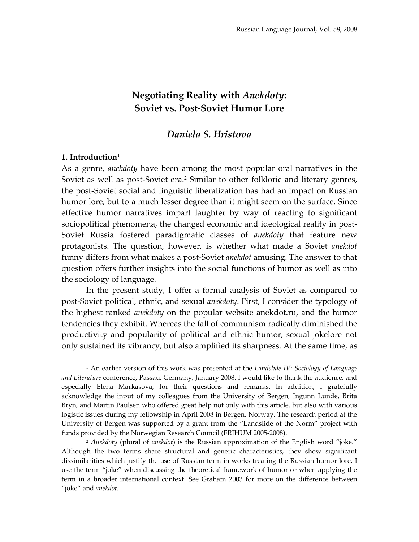# **Negotiating Reality with** *Anekdoty***: Soviet vs. Post-Soviet Humor Lore**

## *Daniela S. Hristova*

#### **1. Introduction**[1](#page-1-0)

 $\overline{a}$ 

As a genre, *anekdoty* have been among the most popular oral narratives in the Soviet as well as post-Soviet era.<sup>2</sup> Similar to other folkloric and literary genres, the post-Soviet social and linguistic liberalization has had an impact on Russian humor lore, but to a much lesser degree than it might seem on the surface. Since effective humor narratives impart laughter by way of reacting to significant sociopolitical phenomena, the changed economic and ideological reality in post-Soviet Russia fostered paradigmatic classes of *anekdoty* that feature new protagonists. The question, however, is whether what made a Soviet *anekdot*  funny differs from what makes a post-Soviet *anekdot* amusing. The answer to that question offers further insights into the social functions of humor as well as into the sociology of language.

In the present study, I offer a formal analysis of Soviet as compared to post-Soviet political, ethnic, and sexual *anekdoty*. First, I consider the typology of the highest ranked *anekdoty* on the popular website anekdot.ru, and the humor tendencies they exhibit. Whereas the fall of communism radically diminished the productivity and popularity of political and ethnic humor, sexual jokelore not only sustained its vibrancy, but also amplified its sharpness. At the same time, as

<span id="page-1-0"></span><sup>1</sup> An earlier version of this work was presented at the *Landslide IV: Sociology of Language and Literature* conference, Passau, Germany, January 2008. I would like to thank the audience, and especially Elena Markasova, for their questions and remarks. In addition, I gratefully acknowledge the input of my colleagues from the University of Bergen, Ingunn Lunde, Brita Bryn, and Martin Paulsen who offered great help not only with this article, but also with various logistic issues during my fellowship in April 2008 in Bergen, Norway. The research period at the University of Bergen was supported by a grant from the "Landslide of the Norm" project with funds provided by the Norwegian Research Council (FRIHUM 2005-2008).

<span id="page-1-1"></span><sup>2</sup> *Anekdoty* (plural of *anekdot*) is the Russian approximation of the English word "joke." Although the two terms share structural and generic characteristics, they show significant dissimilarities which justify the use of Russian term in works treating the Russian humor lore. I use the term "joke" when discussing the theoretical framework of humor or when applying the term in a broader international context. See Graham 2003 for more on the difference between "joke" and *anekdot.*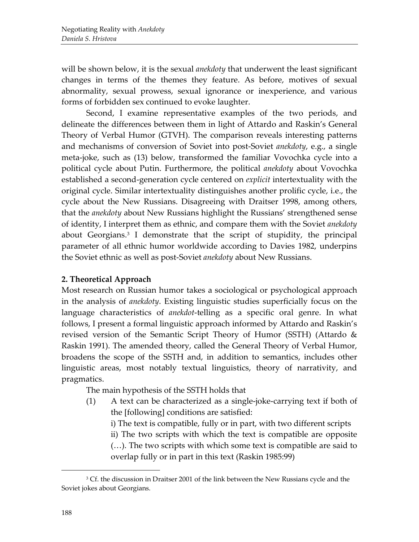will be shown below, it is the sexual *anekdoty* that underwent the least significant changes in terms of the themes they feature. As before, motives of sexual abnormality, sexual prowess, sexual ignorance or inexperience, and various forms of forbidden sex continued to evoke laughter.

Second, I examine representative examples of the two periods, and delineate the differences between them in light of Attardo and Raskin's General Theory of Verbal Humor (GTVH). The comparison reveals interesting patterns and mechanisms of conversion of Soviet into post-Soviet *anekdoty*, e.g., a single meta-joke, such as (13) below, transformed the familiar Vovochka cycle into a political cycle about Putin. Furthermore, the political *anekdoty* about Vovochka established a second-generation cycle centered on *explicit* intertextuality with the original cycle. Similar intertextuality distinguishes another prolific cycle, i.e., the cycle about the New Russians. Disagreeing with Draitser 1998, among others, that the *anekdoty* about New Russians highlight the Russians' strengthened sense of identity, I interpret them as ethnic, and compare them with the Soviet *anekdoty*  about Georgians. [3](#page-2-0) I demonstrate that the script of stupidity, the principal parameter of all ethnic humor worldwide according to Davies 1982, underpins the Soviet ethnic as well as post-Soviet *anekdoty* about New Russians.

# **2. Theoretical Approach**

Most research on Russian humor takes a sociological or psychological approach in the analysis of *anekdoty*. Existing linguistic studies superficially focus on the language characteristics of *anekdot*-telling as a specific oral genre. In what follows, I present a formal linguistic approach informed by Attardo and Raskin's revised version of the Semantic Script Theory of Humor (SSTH) (Attardo & Raskin 1991). The amended theory, called the General Theory of Verbal Humor, broadens the scope of the SSTH and, in addition to semantics, includes other linguistic areas, most notably textual linguistics, theory of narrativity, and pragmatics.

The main hypothesis of the SSTH holds that

- (1) A text can be characterized as a single-joke-carrying text if both of the [following] conditions are satisfied:
	- i) The text is compatible, fully or in part, with two different scripts

ii) The two scripts with which the text is compatible are opposite (…). The two scripts with which some text is compatible are said to overlap fully or in part in this text (Raskin 1985:99)

<span id="page-2-0"></span><sup>&</sup>lt;sup>3</sup> Cf. the discussion in Draitser 2001 of the link between the New Russians cycle and the Soviet jokes about Georgians.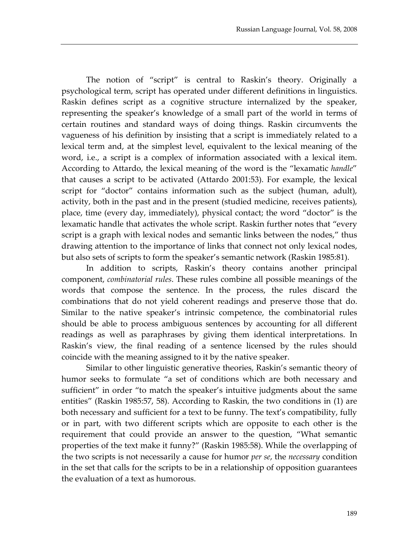The notion of "script" is central to Raskin's theory. Originally a psychological term, script has operated under different definitions in linguistics. Raskin defines script as a cognitive structure internalized by the speaker, representing the speaker's knowledge of a small part of the world in terms of certain routines and standard ways of doing things. Raskin circumvents the vagueness of his definition by insisting that a script is immediately related to a lexical term and, at the simplest level, equivalent to the lexical meaning of the word, i.e., a script is a complex of information associated with a lexical item. According to Attardo, the lexical meaning of the word is the "lexamatic *handle*" that causes a script to be activated (Attardo 2001:53). For example, the lexical script for "doctor" contains information such as the subject (human, adult), activity, both in the past and in the present (studied medicine, receives patients), place, time (every day, immediately), physical contact; the word "doctor" is the lexamatic handle that activates the whole script. Raskin further notes that "every script is a graph with lexical nodes and semantic links between the nodes," thus drawing attention to the importance of links that connect not only lexical nodes, but also sets of scripts to form the speaker's semantic network (Raskin 1985:81).

In addition to scripts, Raskin's theory contains another principal component, *combinatorial rules*. These rules combine all possible meanings of the words that compose the sentence. In the process, the rules discard the combinations that do not yield coherent readings and preserve those that do. Similar to the native speaker's intrinsic competence, the combinatorial rules should be able to process ambiguous sentences by accounting for all different readings as well as paraphrases by giving them identical interpretations. In Raskin's view, the final reading of a sentence licensed by the rules should coincide with the meaning assigned to it by the native speaker.

Similar to other linguistic generative theories, Raskin's semantic theory of humor seeks to formulate "a set of conditions which are both necessary and sufficient" in order "to match the speaker's intuitive judgments about the same entities" (Raskin 1985:57, 58). According to Raskin, the two conditions in (1) are both necessary and sufficient for a text to be funny. The text's compatibility, fully or in part, with two different scripts which are opposite to each other is the requirement that could provide an answer to the question, "What semantic properties of the text make it funny?" (Raskin 1985:58). While the overlapping of the two scripts is not necessarily a cause for humor *per se*, the *necessary* condition in the set that calls for the scripts to be in a relationship of opposition guarantees the evaluation of a text as humorous.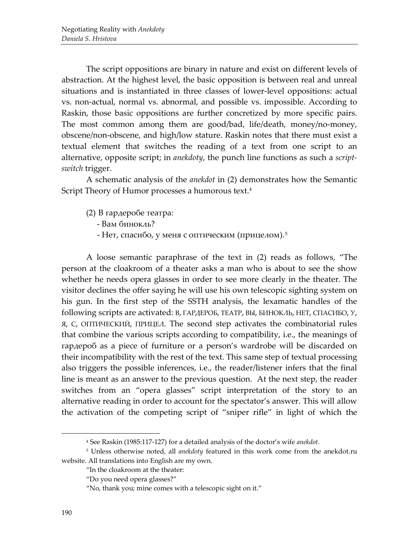The script oppositions are binary in nature and exist on different levels of abstraction. At the highest level, the basic opposition is between real and unreal situations and is instantiated in three classes of lower-level oppositions: actual vs. non-actual, normal vs. abnormal, and possible vs. impossible. According to Raskin, those basic oppositions are further concretized by more specific pairs. The most common among them are good/bad, life/death, money/no-money, obscene/non-obscene, and high/low stature. Raskin notes that there must exist a textual element that switches the reading of a text from one script to an alternative, opposite script; in *anekdoty*, the punch line functions as such a *scriptswitch* trigger.

A schematic analysis of the *anekdot* in (2) demonstrates how the Semantic Script Theory of Humor processes a humorous text.<sup>4</sup>

(2) В гардеробе театра:

- Вам бинокль?

- Нет, спасибо, у меня с оптическим (прицелом).[5](#page-4-1)

A loose semantic paraphrase of the text in (2) reads as follows, "The person at the cloakroom of a theater asks a man who is about to see the show whether he needs opera glasses in order to see more clearly in the theater. The visitor declines the offer saying he will use his own telescopic sighting system on his gun. In the first step of the SSTH analysis, the lexamatic handles of the following scripts are activated: В, ГАРДЕРОБ, ТЕАТР, ВЫ, БИНОКЛЬ, НЕТ, СПАСИБО, У, Я, С, ОПТИЧЕСКИЙ, ПРИЦЕЛ. The second step activates the combinatorial rules that combine the various scripts according to compatibility, i.e., the meanings of гардероб as a piece of furniture or a person's wardrobe will be discarded on their incompatibility with the rest of the text. This same step of textual processing also triggers the possible inferences, i.e., the reader/listener infers that the final line is meant as an answer to the previous question. At the next step, the reader switches from an "opera glasses" script interpretation of the story to an alternative reading in order to account for the spectator's answer. This will allow the activation of the competing script of "sniper rifle" in light of which the

<sup>4</sup> See Raskin (1985:117-127) for a detailed analysis of the doctor's wife *anekdot*.

<span id="page-4-1"></span><span id="page-4-0"></span><sup>5</sup> Unless otherwise noted, all *anekdoty* featured in this work come from the anekdot.ru website. All translations into English are my own.

<sup>&</sup>quot;In the cloakroom at the theater:

<sup>&</sup>quot;Do you need opera glasses?"

<sup>&</sup>quot;No, thank you; mine comes with a telescopic sight on it."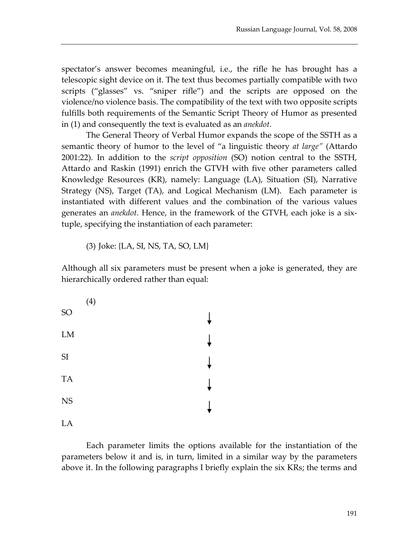spectator's answer becomes meaningful, i.e., the rifle he has brought has a telescopic sight device on it. The text thus becomes partially compatible with two scripts ("glasses" vs. "sniper rifle") and the scripts are opposed on the violence/no violence basis. The compatibility of the text with two opposite scripts fulfills both requirements of the Semantic Script Theory of Humor as presented in (1) and consequently the text is evaluated as an *anekdot*.

The General Theory of Verbal Humor expands the scope of the SSTH as a semantic theory of humor to the level of "a linguistic theory *at large"* (Attardo 2001:22). In addition to the *script opposition* (SO) notion central to the SSTH, Attardo and Raskin (1991) enrich the GTVH with five other parameters called Knowledge Resources (KR), namely: Language (LA), Situation (SI), Narrative Strategy (NS), Target (TA), and Logical Mechanism (LM). Each parameter is instantiated with different values and the combination of the various values generates an *anekdot*. Hence, in the framework of the GTVH, each joke is a sixtuple, specifying the instantiation of each parameter:

(3) Joke: {LA, SI, NS, TA, SO, LM}

Although all six parameters must be present when a joke is generated, they are hierarchically ordered rather than equal:



Each parameter limits the options available for the instantiation of the parameters below it and is, in turn, limited in a similar way by the parameters above it. In the following paragraphs I briefly explain the six KRs; the terms and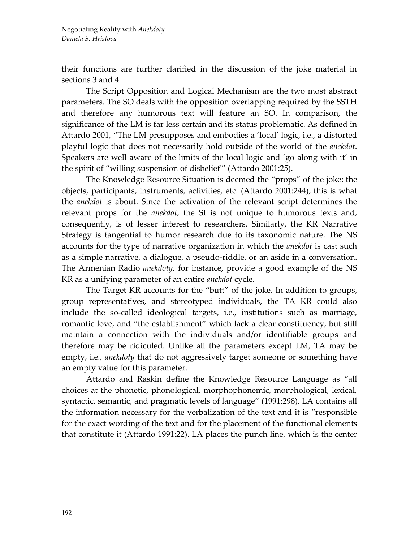their functions are further clarified in the discussion of the joke material in sections 3 and 4.

The Script Opposition and Logical Mechanism are the two most abstract parameters. The SO deals with the opposition overlapping required by the SSTH and therefore any humorous text will feature an SO. In comparison, the significance of the LM is far less certain and its status problematic. As defined in Attardo 2001, "The LM presupposes and embodies a 'local' logic, i.e., a distorted playful logic that does not necessarily hold outside of the world of the *anekdot*. Speakers are well aware of the limits of the local logic and 'go along with it' in the spirit of "willing suspension of disbelief'" (Attardo 2001:25).

The Knowledge Resource Situation is deemed the "props" of the joke: the objects, participants, instruments, activities, etc. (Attardo 2001:244); this is what the *anekdot* is about. Since the activation of the relevant script determines the relevant props for the *anekdot*, the SI is not unique to humorous texts and, consequently, is of lesser interest to researchers. Similarly, the KR Narrative Strategy is tangential to humor research due to its taxonomic nature. The NS accounts for the type of narrative organization in which the *anekdot* is cast such as a simple narrative, a dialogue, a pseudo-riddle, or an aside in a conversation. The Armenian Radio *anekdoty*, for instance, provide a good example of the NS KR as a unifying parameter of an entire *anekdot* cycle.

The Target KR accounts for the "butt" of the joke. In addition to groups, group representatives, and stereotyped individuals, the TA KR could also include the so-called ideological targets, i.e., institutions such as marriage, romantic love, and "the establishment" which lack a clear constituency, but still maintain a connection with the individuals and/or identifiable groups and therefore may be ridiculed. Unlike all the parameters except LM, TA may be empty, i.e*., anekdoty* that do not aggressively target someone or something have an empty value for this parameter.

Attardo and Raskin define the Knowledge Resource Language as "all choices at the phonetic, phonological, morphophonemic, morphological, lexical, syntactic, semantic, and pragmatic levels of language" (1991:298). LA contains all the information necessary for the verbalization of the text and it is "responsible for the exact wording of the text and for the placement of the functional elements that constitute it (Attardo 1991:22). LA places the punch line, which is the center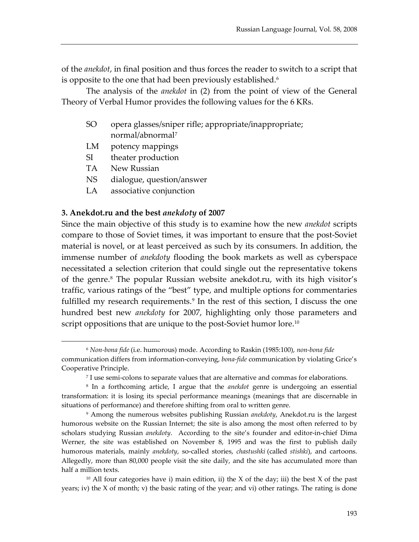of the *anekdot*, in final position and thus forces the reader to switch to a script that is opposite to the one that had been previously established.<sup>[6](#page-7-0)</sup>

The analysis of the *anekdot* in (2) from the point of view of the General Theory of Verbal Humor provides the following values for the 6 KRs.

- SO opera glasses/sniper rifle; appropriate/inappropriate; normal/abnormal[7](#page-7-1)
- LM potency mappings
- SI theater production
- TA New Russian

 $\overline{a}$ 

- NS dialogue, question/answer
- LA associative conjunction

#### **3. Anekdot.ru and the best** *anekdoty* **of 2007**

Since the main objective of this study is to examine how the new *anekdot* scripts compare to those of Soviet times, it was important to ensure that the post-Soviet material is novel, or at least perceived as such by its consumers. In addition, the immense number of *anekdoty* flooding the book markets as well as cyberspace necessitated a selection criterion that could single out the representative tokens of the genre.<sup>[8](#page-7-2)</sup> The popular Russian website anekdot.ru, with its high visitor's traffic, various ratings of the "best" type, and multiple options for commentaries fulfilled my research requirements.<sup>[9](#page-7-3)</sup> In the rest of this section, I discuss the one hundred best new *anekdoty* for 2007, highlighting only those parameters and script oppositions that are unique to the post-Soviet humor lore.<sup>[10](#page-7-4)</sup>

<span id="page-7-0"></span><sup>6</sup> *Non-bona fide* (i.e. humorous) mode. According to Raskin (1985:100), *non-bona fide* communication differs from information-conveying, *bona-fide* communication by violating Grice's Cooperative Principle.

<sup>7</sup> I use semi-colons to separate values that are alternative and commas for elaborations.

<span id="page-7-2"></span><span id="page-7-1"></span><sup>8</sup> In a forthcoming article, I argue that the *anekdot* genre is undergoing an essential transformation: it is losing its special performance meanings (meanings that are discernable in situations of performance) and therefore shifting from oral to written genre.

<span id="page-7-3"></span><sup>9</sup> Among the numerous websites publishing Russian *anekdoty*, Anekdot.ru is the largest humorous website on the Russian Internet; the site is also among the most often referred to by scholars studying Russian *anekdoty*. According to the site's founder and editor-in-chief Dima Werner, the site was established on November 8, 1995 and was the first to publish daily humorous materials, mainly *anekdoty*, so-called stories, *chastushki* (called *stishki*), and cartoons. Allegedly, more than 80,000 people visit the site daily, and the site has accumulated more than half a million texts.

<span id="page-7-4"></span> $10$  All four categories have i) main edition, ii) the X of the day; iii) the best X of the past years; iv) the X of month; v) the basic rating of the year; and vi) other ratings. The rating is done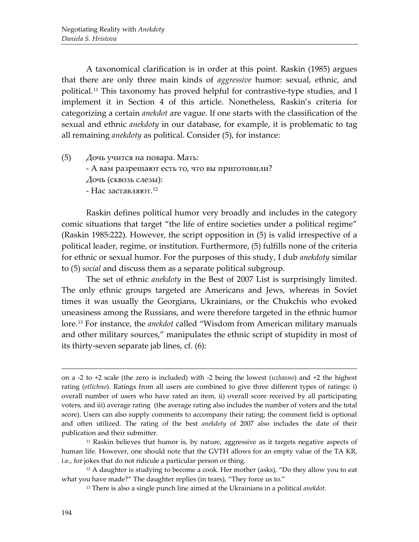A taxonomical clarification is in order at this point. Raskin (1985) argues that there are only three main kinds of *aggressive* humor: sexual, ethnic, and political.[11](#page-8-0) This taxonomy has proved helpful for contrastive-type studies, and I implement it in Section 4 of this article. Nonetheless, Raskin's criteria for categorizing a certain *anekdot* are vague. If one starts with the classification of the sexual and ethnic *anekdoty* in our database, for example, it is problematic to tag all remaining *anekdoty* as political. Consider (5), for instance:

(5) Дочь учится на повара. Мать: - А вам разрешают есть то, что вы приготовили? Дочь (сквозь слезы): - Нас заставляют. [12](#page-8-1)

Raskin defines political humor very broadly and includes in the category comic situations that target "the life of entire societies under a political regime" (Raskin 1985:222). However, the script opposition in (5) is valid irrespective of a political leader, regime, or institution. Furthermore, (5) fulfills none of the criteria for ethnic or sexual humor. For the purposes of this study, I dub *anekdoty* similar to (5) *social* and discuss them as a separate political subgroup.

The set of ethnic *anekdoty* in the Best of 2007 List is surprisingly limited. The only ethnic groups targeted are Americans and Jews, whereas in Soviet times it was usually the Georgians, Ukrainians, or the Chukchis who evoked uneasiness among the Russians, and were therefore targeted in the ethnic humor lore. [13](#page-8-2) For instance, the *anekdot* called "Wisdom from American military manuals and other military sources," manipulates the ethnic script of stupidity in most of its thirty-seven separate jab lines, cf. (6):

on a -2 to +2 scale (the zero is included) with -2 being the lowest (*uzhasno*) and +2 the highest rating (*otlichno*). Ratings from all users are combined to give three different types of ratings: i) overall number of users who have rated an item, ii) overall score received by all participating voters, and iii) average rating (the average rating also includes the number of voters and the total score). Users can also supply comments to accompany their rating; the comment field is optional and often utilized. The rating of the best *anekdoty* of 2007 also includes the date of their publication and their submitter.

<span id="page-8-0"></span><sup>11</sup> Raskin believes that humor is, by nature, aggressive as it targets negative aspects of human life. However, one should note that the GVTH allows for an empty value of the TA KR, i.e., for jokes that do not ridicule a particular person or thing.

<span id="page-8-2"></span><span id="page-8-1"></span><sup>&</sup>lt;sup>12</sup> A daughter is studying to become a cook. Her mother (asks), "Do they allow you to eat what you have made?" The daughter replies (in tears), "They force us to."

<sup>13</sup> There is also a single punch line aimed at the Ukrainians in a political *anekdot*.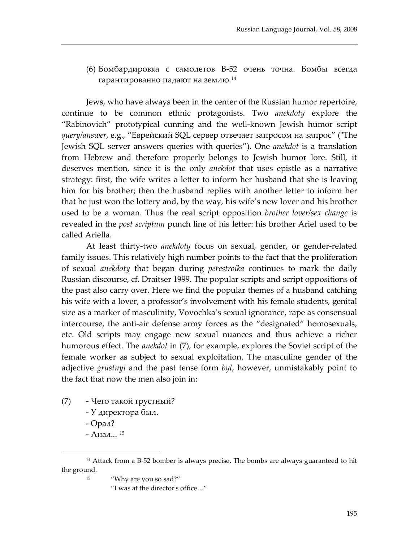(6) Бомбардировка с самолетов В-52 очень точна. Бомбы всегда гарантированно падают на землю.[14](#page-9-0)

Jews, who have always been in the center of the Russian humor repertoire, continue to be common ethnic protagonists. Two *anekdoty* explore the "Rabinovich" prototypical cunning and the well-known Jewish humor script *query/answer*, e.g., "Еврейский SQL сервер отвечает запросом на запроc" ("The Jewish SQL server answers queries with queries"). One *anekdot* is a translation from Hebrew and therefore properly belongs to Jewish humor lore. Still, it deserves mention, since it is the only *anekdot* that uses epistle as a narrative strategy: first, the wife writes a letter to inform her husband that she is leaving him for his brother; then the husband replies with another letter to inform her that he just won the lottery and, by the way, his wife's new lover and his brother used to be a woman. Thus the real script opposition *brother lover/sex change* is revealed in the *post scriptum* punch line of his letter: his brother Ariel used to be called Ariella.

At least thirty-two *anekdoty* focus on sexual, gender, or gender-related family issues. This relatively high number points to the fact that the proliferation of sexual *anekdoty* that began during *perestroika* continues to mark the daily Russian discourse, cf. Draitser 1999. The popular scripts and script oppositions of the past also carry over. Here we find the popular themes of a husband catching his wife with a lover, a professor's involvement with his female students, genital size as a marker of masculinity, Vovochka's sexual ignorance, rape as consensual intercourse, the anti-air defense army forces as the "designated" homosexuals, etc. Old scripts may engage new sexual nuances and thus achieve a richer humorous effect. The *anekdot* in (7), for example, explores the Soviet script of the female worker as subject to sexual exploitation. The masculine gender of the adjective *grustnyi* and the past tense form *byl*, however, unmistakably point to the fact that now the men also join in:

- (7) Чего такой грустный?
	- У директора был.
	- Орал?

 $\overline{a}$ 

- Анал... [15](#page-9-1)

<sup>15</sup> "Why are you so sad?"

"I was at the director's office…"

<span id="page-9-1"></span><span id="page-9-0"></span><sup>&</sup>lt;sup>14</sup> Attack from a B-52 bomber is always precise. The bombs are always guaranteed to hit the ground.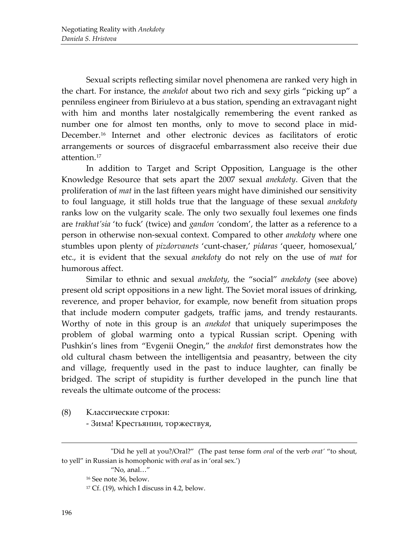Sexual scripts reflecting similar novel phenomena are ranked very high in the chart. For instance, the *anekdot* about two rich and sexy girls "picking up" a penniless engineer from Biriulevo at a bus station, spending an extravagant night with him and months later nostalgically remembering the event ranked as number one for almost ten months, only to move to second place in mid-December.[16](#page-10-0) Internet and other electronic devices as facilitators of erotic arrangements or sources of disgraceful embarrassment also receive their due attention. [17](#page-10-1)

In addition to Target and Script Opposition, Language is the other Knowledge Resource that sets apart the 2007 sexual *anekdoty*. Given that the proliferation of *mat* in the last fifteen years might have diminished our sensitivity to foul language, it still holds true that the language of these sexual *anekdoty* ranks low on the vulgarity scale. The only two sexually foul lexemes one finds are *trakhat'sia* 'to fuck' (twice) and *gandon '*condom', the latter as a reference to a person in otherwise non-sexual context. Compared to other *anekdoty* where one stumbles upon plenty of *pizdorvanets* 'cunt-chaser,' *pidaras* 'queer, homosexual,' etc., it is evident that the sexual *anekdoty* do not rely on the use of *mat* for humorous affect.

Similar to ethnic and sexual *anekdoty*, the "social" *anekdoty* (see above) present old script oppositions in a new light. The Soviet moral issues of drinking, reverence, and proper behavior, for example, now benefit from situation props that include modern computer gadgets, traffic jams, and trendy restaurants. Worthy of note in this group is an *anekdot* that uniquely superimposes the problem of global warming onto a typical Russian script. Opening with Pushkin's lines from "Evgenii Onegin," the *anekdot* first demonstrates how the old cultural chasm between the intelligentsia and peasantry, between the city and village, frequently used in the past to induce laughter, can finally be bridged. The script of stupidity is further developed in the punch line that reveals the ultimate outcome of the process:

(8) Классические строки: - Зима! Крестьянин, торжествуя,

<span id="page-10-1"></span><span id="page-10-0"></span><sup>&</sup>quot;Did he yell at you?/Oral?" (The past tense form *oral* of the verb *orat'* "to shout, to yell" in Russian is homophonic with *oral* as in 'oral sex.')

<sup>&</sup>quot;No, anal…"

<sup>16</sup> See note 36, below.

 $17$  Cf. (19), which I discuss in 4.2, below.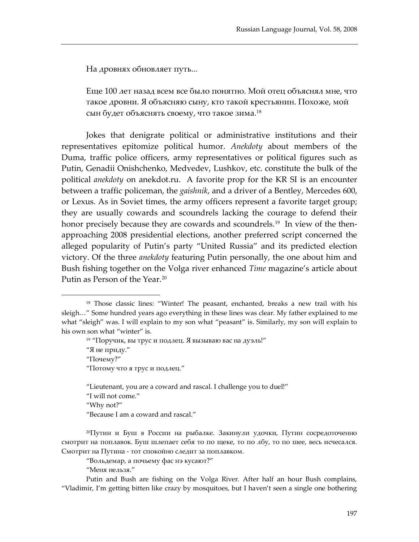На дровнях обновляет путь...

Еще 100 лет назад всем все было понятно. Мой отец объяснял мне, что такое дровни. Я объясняю сыну, кто такой крестьянин. Похоже, мой сын будет объяснять своему, что такое зима. [18](#page-11-0)

Jokes that denigrate political or administrative institutions and their representatives epitomize political humor. *Anekdoty* about members of the Duma, traffic police officers, army representatives or political figures such as Putin, Genadii Onishchenko, Medvedev, Lushkov, etc. constitute the bulk of the political *anekdoty* on anekdot.ru. A favorite prop for the KR SI is an encounter between a traffic policeman, the *gaishnik*, and a driver of a Bentley, Mercedes 600, or Lexus. As in Soviet times, the army officers represent a favorite target group; they are usually cowards and scoundrels lacking the courage to defend their honor precisely because they are cowards and scoundrels.<sup>[19](#page-11-1)</sup> In view of the thenapproaching 2008 presidential elections, another preferred script concerned the alleged popularity of Putin's party "United Russia" and its predicted election victory. Of the three *anekdoty* featuring Putin personally, the one about him and Bush fishing together on the Volga river enhanced *Time* magazine's article about Putin as Person of the Year.<sup>20</sup>

"Lieutenant, you are a coward and rascal. I challenge you to duel!"

"I will not come."

"Why not?"

 $\overline{a}$ 

"Because I am a coward and rascal."

"Вольдемар, а почьему фас нэ кусают?"

"Меня нельзя."

Putin and Bush are fishing on the Volga River. After half an hour Bush complains, "Vladimir, I'm getting bitten like crazy by mosquitoes, but I haven't seen a single one bothering

<span id="page-11-1"></span><span id="page-11-0"></span><sup>18</sup> Those classic lines: "Winter! The peasant, enchanted, breaks a new trail with his sleigh…" Some hundred years ago everything in these lines was clear. My father explained to me what "sleigh" was. I will explain to my son what "peasant" is. Similarly, my son will explain to his own son what "winter" is.

<sup>19</sup> "Поручик, вы трус и подлец. Я вызываю вас на дуэль!" "Я не приду." "Почему?" "Потому что я трус и подлец."

<span id="page-11-2"></span><sup>20</sup>Путин и Буш в России на рыбалке. Закинули удочки, Путин сосредоточенно смотрит на поплавок. Буш шлепает себя то по щеке, то по лбу, то по шее, весь исчесался. Смотрит на Путина - тот спокойно следит за поплавком.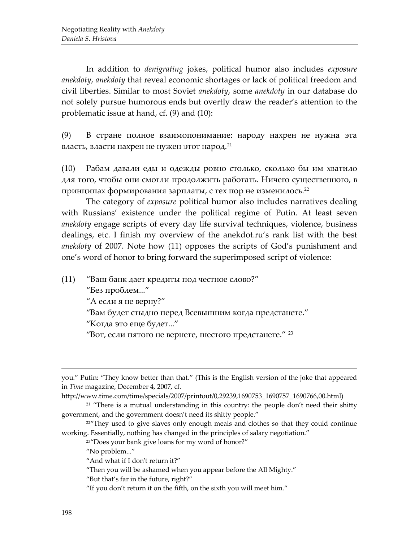In addition to *denigrating* jokes, political humor also includes *exposure anekdoty*, *anekdoty* that reveal economic shortages or lack of political freedom and civil liberties. Similar to most Soviet *anekdoty*, some *anekdoty* in our database do not solely pursue humorous ends but overtly draw the reader's attention to the problematic issue at hand, cf. (9) and (10):

(9) В стране полное взаимопонимание: народу нахрен не нужна эта власть, власти нахрен не нужен этот народ.<sup>[21](#page-12-0)</sup>

(10) Рабам давали еды и одежды ровно столько, сколько бы им хватило для того, чтобы они смогли продолжить работать. Ничего существенного, в принципах формирования зарплаты, с тех пор не изменилось. $^{22}$  $^{22}$  $^{22}$ 

The category of *exposure* political humor also includes narratives dealing with Russians' existence under the political regime of Putin. At least seven *anekdoty* engage scripts of every day life survival techniques, violence, business dealings, etc. I finish my overview of the anekdot.ru's rank list with the best *anekdoty* of 2007. Note how (11) opposes the scripts of God's punishment and one's word of honor to bring forward the superimposed script of violence:

(11) "Ваш банк дает кредиты под честное слово?" "Без проблем..." "А если я не верну?" "Вам будет стыдно перед Всевышним когда предстанете." "Когда это еще будет..." "Вот, если пятого не вернете, шестого предстанете." [23](#page-12-2)

you." Putin: "They know better than that." (This is the English version of the joke that appeared in *Time* magazine, December 4, 2007, cf.

http://www.time.com/time/specials/2007/printout/0,29239,1690753\_1690757\_1690766,00.html)

<span id="page-12-0"></span> $21$  "There is a mutual understanding in this country: the people don't need their shitty government, and the government doesn't need its shitty people."

<span id="page-12-2"></span><span id="page-12-1"></span> $22^{\prime\prime}$ They used to give slaves only enough meals and clothes so that they could continue working. Essentially, nothing has changed in the principles of salary negotiation."

<sup>&</sup>lt;sup>23"</sup>Does your bank give loans for my word of honor?"

<sup>&</sup>quot;No problem..."

<sup>&</sup>quot;And what if I don't return it?"

<sup>&</sup>quot;Then you will be ashamed when you appear before the All Mighty."

<sup>&</sup>quot;But that's far in the future, right?"

<sup>&</sup>quot;If you don't return it on the fifth, on the sixth you will meet him."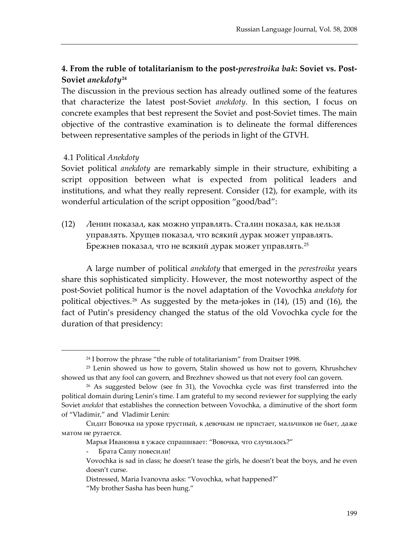# **4. From the ruble of totalitarianism to the post-***perestroika bak***: Soviet vs. Post-Soviet** *anekdoty***[24](#page-13-0)**

The discussion in the previous section has already outlined some of the features that characterize the latest post-Soviet *anekdoty*. In this section, I focus on concrete examples that best represent the Soviet and post-Soviet times. The main objective of the contrastive examination is to delineate the formal differences between representative samples of the periods in light of the GTVH.

## 4.1 Political *Anekdoty*

 $\overline{a}$ 

Soviet political *anekdoty* are remarkably simple in their structure, exhibiting a script opposition between what is expected from political leaders and institutions, and what they really represent. Consider (12), for example, with its wonderful articulation of the script opposition "good/bad":

(12) Ленин показал, как можно управлять. Сталин показал, как нельзя управлять. Хрущев показал, что всякий дурак может управлять. Брежнев показа*л,* что не всякий дурак может управ*л*ять.<sup>[25](#page-13-1)</sup>

A large number of political *anekdoty* that emerged in the *perestroika* years share this sophisticated simplicity. However, the most noteworthy aspect of the post-Soviet political humor is the novel adaptation of the Vovochka *anekdoty* for political objectives. [26](#page-13-2) As suggested by the meta-jokes in (14), (15) and (16), the fact of Putin's presidency changed the status of the old Vovochka cycle for the duration of that presidency:

<sup>&</sup>lt;sup>24</sup> I borrow the phrase "the ruble of totalitarianism" from Draitser 1998.

<span id="page-13-1"></span><span id="page-13-0"></span><sup>25</sup> Lenin showed us how to govern, Stalin showed us how not to govern, Khrushchev showed us that any fool can govern, and Brezhnev showed us that not every fool can govern.

<span id="page-13-2"></span> $26$  As suggested below (see fn 31), the Vovochka cycle was first transferred into the political domain during Lenin's time. I am grateful to my second reviewer for supplying the early Soviet *anekdot* that establishes the connection between Vovochka, a diminutive of the short form of "Vladimir," and Vladimir Lenin:

Сидит Вовочка на уроке грустный, к девочкам не пристает, мальчиков не бьет, даже матом не ругается.

Марья Ивановна в ужасе спрашивает: "Вовочка, что случилось?"

<sup>-</sup> Брата Сашу повесили!

Vovochka is sad in class; he doesn't tease the girls, he doesn't beat the boys, and he even doesn't curse.

Distressed, Maria Ivanovna asks: "Vovochka, what happened?"

<sup>&</sup>quot;My brother Sasha has been hung."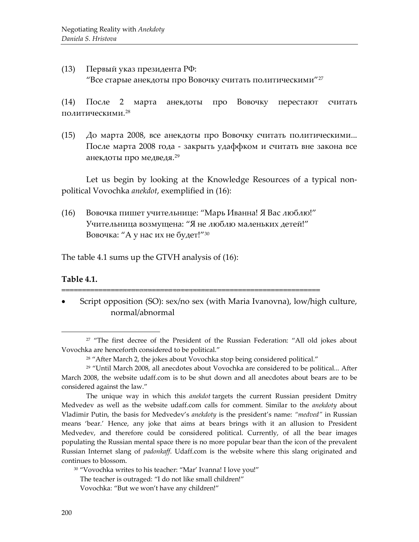(13) Первый указ президента РФ: "Все старые анекдоты про Вовочку считать политическими"[27](#page-14-0)

(14) После 2 марта анекдоты про Вовочку перестают считать политическими. $^{\mathrm{28}}$  $^{\mathrm{28}}$  $^{\mathrm{28}}$ 

(15) До марта 2008, все анекдоты про Вовочку считать политическими... После марта 2008 года - закрыть удаффком и считать вне закона все анекдоты про медведя.<sup>[29](#page-14-2)</sup>

Let us begin by looking at the Knowledge Resources of a typical nonpolitical Vovochka *anekdot*, exemplified in (16):

(16) Вовочка пишет учительнице: "Марь Иванна! Я Вас люблю!" Учительница возмущена: "Я не люблю маленьких детей!" Boвочка: "A у нас их не будет!"[30](#page-14-3)

===============================================================

The table 4.1 sums up the GTVH analysis of (16):

#### **Table 4.1.**

 $\overline{a}$ 

• Script opposition (SO): sex/no sex (with Maria Ivanovna), low/high culture, normal/abnormal

<span id="page-14-0"></span><sup>&</sup>lt;sup>27</sup> "The first decree of the President of the Russian Federation: "All old jokes about Vovochka are henceforth considered to be political."

<sup>&</sup>lt;sup>28</sup> "After March 2, the jokes about Vovochka stop being considered political."

<span id="page-14-2"></span><span id="page-14-1"></span><sup>29</sup> "Until March 2008, all anecdotes about Vovochka are considered to be political... After March 2008, the website udaff.com is to be shut down and all anecdotes about bears are to be considered against the law."

The unique way in which this *anekdot* targets the current Russian president Dmitry Medvedev as well as the website udaff.com calls for comment. Similar to the *anekdoty* about Vladimir Putin, the basis for Medvedev's *anekdoty* is the president's name: *"medved"* in Russian means 'bear.' Hence, any joke that aims at bears brings with it an allusion to President Medvedev, and therefore could be considered political. Currently, of all the bear images populating the Russian mental space there is no more popular bear than the icon of the prevalent Russian Internet slang of *padonkaff*. Udaff.com is the website where this slang originated and continues to blossom.

<span id="page-14-3"></span><sup>&</sup>lt;sup>30</sup> "Vovochka writes to his teacher: "Mar' Ivanna! I love you!"

The teacher is outraged: "I do not like small children!"

Vovochka: "But we won't have any children!"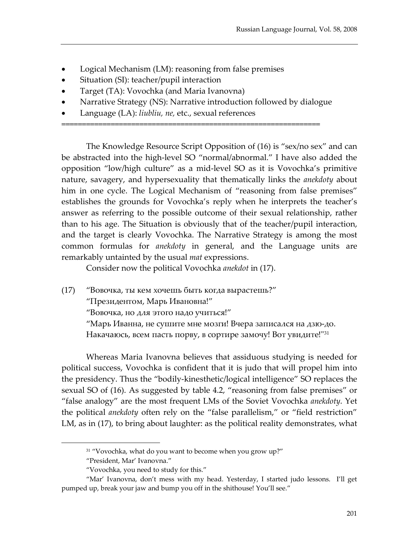- Logical Mechanism (LM): reasoning from false premises
- Situation (SI): teacher/pupil interaction
- Target (TA): Vovochka (and Maria Ivanovna)
- Narrative Strategy (NS): Narrative introduction followed by dialogue

===============================================================

• Language (LA): *liubliu, ne,* etc., sexual references

The Knowledge Resource Script Opposition of (16) is "sex/no sex" and can be abstracted into the high-level SO "normal/abnormal." I have also added the opposition "low/high culture" as a mid-level SO as it is Vovochka's primitive nature, savagery, and hypersexuality that thematically links the *anekdoty* about him in one cycle. The Logical Mechanism of "reasoning from false premises" establishes the grounds for Vovochka's reply when he interprets the teacher's answer as referring to the possible outcome of their sexual relationship, rather than to his age. The Situation is obviously that of the teacher/pupil interaction, and the target is clearly Vovochka. The Narrative Strategy is among the most common formulas for *anekdoty* in general, and the Language units are remarkably untainted by the usual *mat* expressions.

Consider now the political Vovochka *anekdot* in (17).

(17) "Вовочка, ты кем хочешь быть когда вырастешь?" "Президентом, Марь Ивановна!" "Вовочка, но для этого надо учиться!" "Марь Иванна, не сушите мне мозги! Вчера записался на дзю-до. Накачаюсь, всем пасть порву, в сортире замочу! Вот увидите!"[31](#page-15-0)

Whereas Maria Ivanovna believes that assiduous studying is needed for political success, Vovochka is confident that it is judo that will propel him into the presidency. Thus the "bodily-kinesthetic/logical intelligence" SO replaces the sexual SO of (16). As suggested by table 4.2, "reasoning from false premises" or "false analogy" are the most frequent LMs of the Soviet Vovochka *anekdoty*. Yet the political *anekdoty* often rely on the "false parallelism," or "field restriction" LM, as in (17), to bring about laughter: as the political reality demonstrates, what

<sup>&</sup>lt;sup>31</sup> "Vovochka, what do you want to become when you grow up?"

<sup>&</sup>quot;President, Mar' Ivanovna."

<sup>&</sup>quot;Vovochka, you need to study for this."

<span id="page-15-0"></span><sup>&</sup>quot;Mar' Ivanovna, don't mess with my head. Yesterday, I started judo lessons. I'll get pumped up, break your jaw and bump you off in the shithouse! You'll see."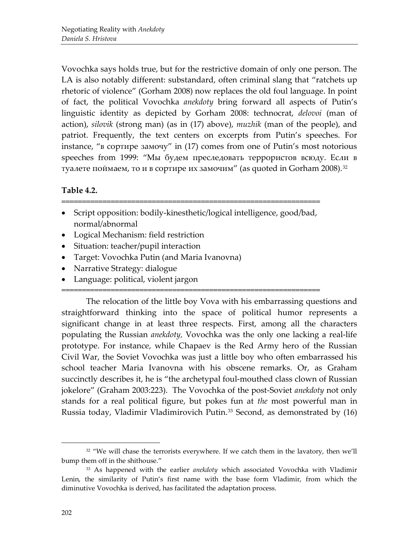Vovochka says holds true, but for the restrictive domain of only one person. The LA is also notably different: substandard, often criminal slang that "ratchets up rhetoric of violence" (Gorham 2008) now replaces the old foul language. In point of fact, the political Vovochka *anekdoty* bring forward all aspects of Putin's linguistic identity as depicted by Gorham 2008: technocrat, *delovoi* (man of action), *silovik* (strong man) (as in (17) above), *muzhik* (man of the people), and patriot. Frequently, the text centers on excerpts from Putin's speeches. For instance, "в сортире замочу" in (17) comes from one of Putin's most notorious speeches from 1999: "Мы будем преследовать террористов всюду. Eсли в туалете поймаем, то и в сортире их замочим" (as quoted in Gorham 2008).<sup>[32](#page-16-0)</sup>

# **Table 4.2.**

• Script opposition: bodily-kinesthetic/logical intelligence, good/bad, normal/abnormal

===============================================================

===============================================================

- Logical Mechanism: field restriction
- Situation: teacher/pupil interaction
- Target: Vovochka Putin (and Maria Ivanovna)
- Narrative Strategy: dialogue
- Language: political, violent jargon

The relocation of the little boy Vova with his embarrassing questions and straightforward thinking into the space of political humor represents a significant change in at least three respects. First, among all the characters populating the Russian *anekdoty,* Vovochka was the only one lacking a real-life prototype. For instance, while Chapaev is the Red Army hero of the Russian Civil War, the Soviet Vovochka was just a little boy who often embarrassed his school teacher Maria Ivanovna with his obscene remarks. Or, as Graham succinctly describes it, he is "the archetypal foul-mouthed class clown of Russian jokelore" (Graham 2003:223). The Vovochka of the post-Soviet *anekdoty* not only stands for a real political figure, but pokes fun at *the* most powerful man in Russia today, Vladimir Vladimirovich Putin.<sup>[33](#page-16-1)</sup> Second, as demonstrated by (16)

<span id="page-16-0"></span> $32$  "We will chase the terrorists everywhere. If we catch them in the lavatory, then we'll bump them off in the shithouse."

<span id="page-16-1"></span><sup>33</sup> As happened with the earlier *anekdoty* which associated Vovochka with Vladimir Lenin, the similarity of Putin's first name with the base form Vladimir, from which the diminutive Vovochka is derived, has facilitated the adaptation process.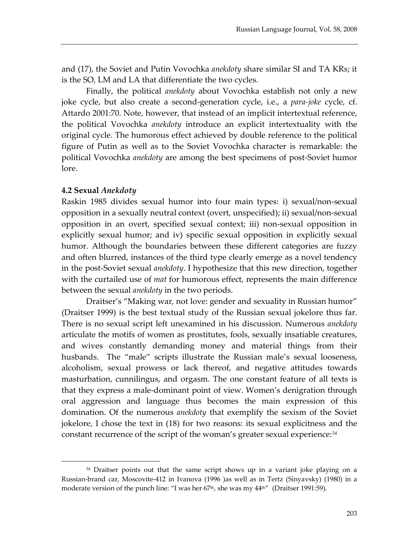and (17), the Soviet and Putin Vovochka *anekdoty* share similar SI and TA KRs; it is the SO, LM and LA that differentiate the two cycles.

Finally, the political *anekdoty* about Vovochka establish not only a new joke cycle, but also create a second-generation cycle, i.e., a *para-joke* cycle, cf. Attardo 2001:70. Note, however, that instead of an implicit intertextual reference, the political Vovochka *anekdoty* introduce an explicit intertextuality with the original cycle. The humorous effect achieved by double reference to the political figure of Putin as well as to the Soviet Vovochka character is remarkable: the political Vovochka *anekdoty* are among the best specimens of post-Soviet humor lore.

#### **4.2 Sexual** *Anekdoty*

 $\overline{a}$ 

Raskin 1985 divides sexual humor into four main types: i) sexual/non-sexual opposition in a sexually neutral context (overt, unspecified); ii) sexual/non-sexual opposition in an overt, specified sexual context; iii) non-sexual opposition in explicitly sexual humor; and iv) specific sexual opposition in explicitly sexual humor. Although the boundaries between these different categories are fuzzy and often blurred, instances of the third type clearly emerge as a novel tendency in the post-Soviet sexual *anekdoty*. I hypothesize that this new direction, together with the curtailed use of *mat* for humorous effect, represents the main difference between the sexual *anekdoty* in the two periods.

Draitser's "Making war, not love: gender and sexuality in Russian humor" (Draitser 1999) is the best textual study of the Russian sexual jokelore thus far. There is no sexual script left unexamined in his discussion. Numerous *anekdoty* articulate the motifs of women as prostitutes, fools, sexually insatiable creatures, and wives constantly demanding money and material things from their husbands. The "male" scripts illustrate the Russian male's sexual looseness, alcoholism, sexual prowess or lack thereof, and negative attitudes towards masturbation, cunnilingus, and orgasm. The one constant feature of all texts is that they express a male-dominant point of view. Women's denigration through oral aggression and language thus becomes the main expression of this domination. Of the numerous *anekdoty* that exemplify the sexism of the Soviet jokelore, I chose the text in (18) for two reasons: its sexual explicitness and the constant recurrence of the script of the woman's greater sexual experience:<sup>[34](#page-17-0)</sup>

<span id="page-17-0"></span><sup>&</sup>lt;sup>34</sup> Draitser points out that the same script shows up in a variant joke playing on a Russian-brand car, Moscovite-412 in Ivanova (1996 )as well as in Tertz (Sinyavsky) (1980) in a moderate version of the punch line: "I was her 67<sup>th</sup>, she was my 44<sup>th"</sup> (Draitser 1991:59).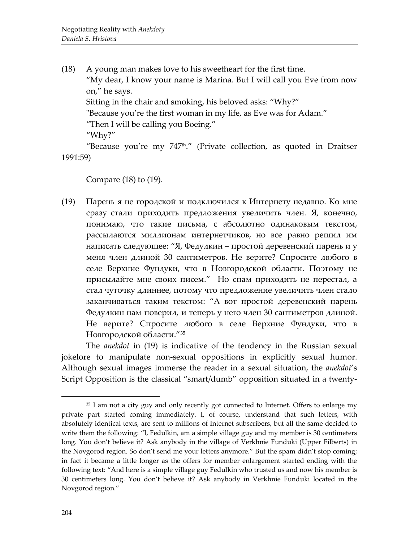(18) A young man makes love to his sweetheart for the first time. "My dear, I know your name is Marina. But I will call you Eve from now on," he says. Sitting in the chair and smoking, his beloved asks: "Why?" "Because you're the first woman in my life, as Eve was for Adam." "Then I will be calling you Boeing." "Why?" "Because you're my  $747<sup>th</sup>$ ." (Private collection, as quoted in Draitser

1991:59)

Compare (18) to (19).

(19) Парень я не городской и подключился к Интернету недавно. Ко мне сразу стали приходить предложения увеличить член. Я, конечно, понимаю, что такие письма, с абсолютно одинаковым текстом, рассылаются миллионам интернетчиков, но все равно решил им написать следующее: "Я, Федулкин – простой деревенский парень и у меня член длиной 30 сантиметров. Не верите? Спросите любого в селе Верхние Фундуки, что в Новгородской области. Поэтому не присылайте мне своих писем." Но спам приходить не перестал, а стал чуточку длиннее, потому что предложение увеличить член стало заканчиваться таким текстом: "А вот простой деревенский парень Федулкин нам поверил, и теперь у него член 30 сантиметров длиной. Не верите? Спросите любого в селе Верхние Фундуки, что в Новгородской области."[35](#page-18-0)

The *anekdot* in (19) is indicative of the tendency in the Russian sexual jokelore to manipulate non-sexual oppositions in explicitly sexual humor. Although sexual images immerse the reader in a sexual situation, the *anekdot*'s Script Opposition is the classical "smart/dumb" opposition situated in a twenty-

<span id="page-18-0"></span><sup>&</sup>lt;sup>35</sup> I am not a city guy and only recently got connected to Internet. Offers to enlarge my private part started coming immediately. I, of course, understand that such letters, with absolutely identical texts, are sent to millions of Internet subscribers, but all the same decided to write them the following: "I, Fedulkin, am a simple village guy and my member is 30 centimeters long. You don't believe it? Ask anybody in the village of Verkhnie Funduki (Upper Filberts) in the Novgorod region. So don't send me your letters anymore." But the spam didn't stop coming; in fact it became a little longer as the offers for member enlargement started ending with the following text: "And here is a simple village guy Fedulkin who trusted us and now his member is 30 centimeters long. You don't believe it? Ask anybody in Verkhnie Funduki located in the Novgorod region."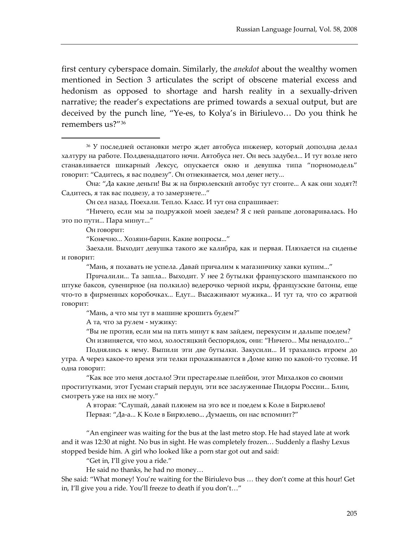first century cyberspace domain. Similarly, the *anekdot* about the wealthy women mentioned in Section 3 articulates the script of obscene material excess and hedonism as opposed to shortage and harsh reality in a sexually-driven narrative; the reader's expectations are primed towards a sexual output, but are deceived by the punch line, "Ye-es, to Kolya's in Biriulevo… Do you think he remembers us?"[36](#page-19-0)

Он говорит:

 $\overline{a}$ 

"Конечно... Хозяин-барин. Какие вопросы..."

"Мань, я похавать не успела. Давай причалим к магазинчику хавки купим..."

Причалили... Та зашла... Выходит. У нее 2 бутылки французского шампанского по штуке баксов, сувенирное (на полкило) ведерочко черной икры, французские батоны, еще что-то в фирменных коробочках... Едут... Высаживают мужика... И тут та, что со жратвой говорит:

"Мань, а что мы тут в машине крошить будем?"

А та, что за рулем - мужику:

"Вы не против, если мы на пять минут к вам зайдем, перекусим и дальше поедем?

Он извиняется, что мол, холостяцкий беспорядок, они: "Ничего... Мы ненадолго..."

Поднялись к нему. Выпили эти две бутылки. Закусили... И трахались втроем до утра. А через какое-то время эти телки прохаживаются в Доме кино по какой-то тусовке. И одна говорит:

"Как все это меня достало! Эти престарелые плейбои, этот Михалков со своими проститутками, этот Гусман старый пердун, эти все заслуженные Пидоры России... Блин, смотреть уже на них не могу."

А вторая: "Слушай, давай плюнем на это все и поедем к Коле в Бирюлево! Первая: "Да-а... К Коле в Бирюлево... Думаешь, он нас вспомнит?"

"An engineer was waiting for the bus at the last metro stop. He had stayed late at work and it was 12:30 at night. No bus in sight. He was completely frozen… Suddenly a flashy Lexus stopped beside him. A girl who looked like a porn star got out and said:

"Get in, I'll give you a ride."

He said no thanks, he had no money…

She said: "What money! You're waiting for the Biriulevo bus … they don't come at this hour! Get in, I'll give you a ride. You'll freeze to death if you don't…"

<span id="page-19-0"></span><sup>36</sup> У последней остановки метро ждет автобуса инженер, который допоздна делал халтуру на работе. Полдвенадцатого ночи. Автобуса нет. Он весь задубел... И тут возле него станавливается шикарный Лексус, опускается окно и девушка типа "порномодель" говорит: "Садитесь, я вас подвезу". Он отнекивается, мол денег нету...

Она: "Да какие деньги! Вы ж на бирюлевский автобус тут стоите... А как они ходят?! Садитесь, я так вас подвезу, а то замерзнете..."

Он сел назад. Поехали. Тепло. Класс. И тут она спрашивает:

<sup>&</sup>quot;Ничего, если мы за подружкой моей заедем? Я с ней раньше договаривалась. Но это по пути... Пара минут..."

Заехали. Выходит девушка такого же калибра, как и первая. Плюхается на сиденье и говорит: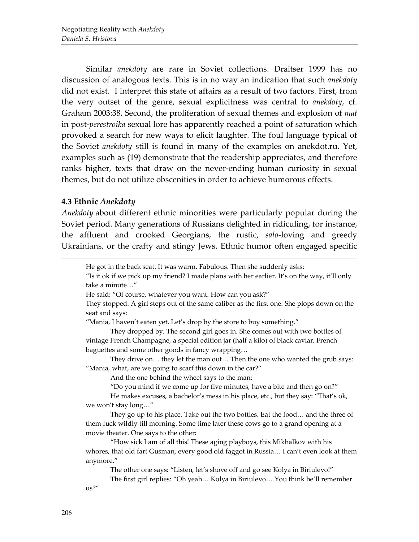Similar *anekdoty* are rare in Soviet collections. Draitser 1999 has no discussion of analogous texts. This is in no way an indication that such *anekdoty* did not exist. I interpret this state of affairs as a result of two factors. First, from the very outset of the genre, sexual explicitness was central to *anekdoty*, cf. Graham 2003:38. Second, the proliferation of sexual themes and explosion of *mat*  in post-*perestroika* sexual lore has apparently reached a point of saturation which provoked a search for new ways to elicit laughter. The foul language typical of the Soviet *anekdoty* still is found in many of the examples on anekdot.ru. Yet, examples such as (19) demonstrate that the readership appreciates, and therefore ranks higher, texts that draw on the never-ending human curiosity in sexual themes, but do not utilize obscenities in order to achieve humorous effects.

## **4.3 Ethnic** *Anekdoty*

 $\overline{a}$ 

*Anekdoty* about different ethnic minorities were particularly popular during the Soviet period. Many generations of Russians delighted in ridiculing, for instance, the affluent and crooked Georgians, the rustic, *salo*-loving and greedy Ukrainians, or the crafty and stingy Jews. Ethnic humor often engaged specific

He got in the back seat. It was warm. Fabulous. Then she suddenly asks:

"Is it ok if we pick up my friend? I made plans with her earlier. It's on the way, it'll only take a minute…"

He said: "Of course, whatever you want. How can you ask?"

They stopped. A girl steps out of the same caliber as the first one. She plops down on the seat and says:

"Mania, I haven't eaten yet. Let's drop by the store to buy something."

They dropped by. The second girl goes in. She comes out with two bottles of vintage French Champagne, a special edition jar (half a kilo) of black caviar, French baguettes and some other goods in fancy wrapping…

They drive on... they let the man out... Then the one who wanted the grub says: "Mania, what, are we going to scarf this down in the car?"

And the one behind the wheel says to the man:

"Do you mind if we come up for five minutes, have a bite and then go on?"

He makes excuses, a bachelor's mess in his place, etc., but they say: "That's ok, we won't stay long…"

They go up to his place. Take out the two bottles. Eat the food… and the three of them fuck wildly till morning. Some time later these cows go to a grand opening at a movie theater. One says to the other:

"How sick I am of all this! These aging playboys, this Mikhalkov with his whores, that old fart Gusman, every good old faggot in Russia… I can't even look at them anymore."

The other one says: "Listen, let's shove off and go see Kolya in Biriulevo!"

The first girl replies: "Oh yeah… Kolya in Biriulevo… You think he'll remember us?"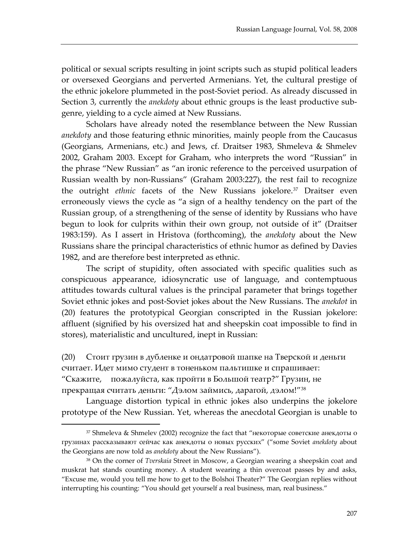political or sexual scripts resulting in joint scripts such as stupid political leaders or oversexed Georgians and perverted Armenians. Yet, the cultural prestige of the ethnic jokelore plummeted in the post-Soviet period. As already discussed in Section 3, currently the *anekdoty* about ethnic groups is the least productive subgenre, yielding to a cycle aimed at New Russians.

Scholars have already noted the resemblance between the New Russian *anekdoty* and those featuring ethnic minorities, mainly people from the Caucasus (Georgians, Armenians, etc.) and Jews, cf. Draitser 1983, Shmeleva & Shmelev 2002, Graham 2003. Except for Graham, who interprets the word "Russian" in the phrase "New Russian" as "an ironic reference to the perceived usurpation of Russian wealth by non-Russians" (Graham 2003:227), the rest fail to recognize the outright *ethnic* facets of the New Russians jokelore.<sup>[37](#page-21-0)</sup> Draitser even erroneously views the cycle as "a sign of a healthy tendency on the part of the Russian group, of a strengthening of the sense of identity by Russians who have begun to look for culprits within their own group, not outside of it" (Draitser 1983:159). As I assert in Hristova (forthcoming), the *anekdoty* about the New Russians share the principal characteristics of ethnic humor as defined by Davies 1982, and are therefore best interpreted as ethnic.

The script of stupidity, often associated with specific qualities such as conspicuous appearance, idiosyncratic use of language, and contemptuous attitudes towards cultural values is the principal parameter that brings together Soviet ethnic jokes and post-Soviet jokes about the New Russians. The *anekdot* in (20) features the prototypical Georgian conscripted in the Russian jokelore: affluent (signified by his oversized hat and sheepskin coat impossible to find in stores), materialistic and uncultured, inept in Russian:

(20) Стоит грузин в дубленке и ондатровой шапке на Тверской и деньги считает. Идет мимо студент в тоненьком пальтишке и спрашивает: "Скажите, пожалуйста, как пройти в Большой театр?" Грузин, не прекращая считать деньги: "Дэлом займись, дарагой, дэлом!"[38](#page-21-1)

Language distortion typical in ethnic jokes also underpins the jokelore prototype of the New Russian. Yet, whereas the anecdotal Georgian is unable to

<span id="page-21-0"></span><sup>37</sup> Shmeleva & Shmelev (2002) recognize the fact that "некоторые советские анекдоты о грузинах рассказывают сейчас как анекдоты о новых русских" ("some Soviet *anekdoty* about the Georgians are now told as *anekdoty* about the New Russians").

<span id="page-21-1"></span><sup>38</sup> On the corner of *Tverskaia* Street in Moscow, a Georgian wearing a sheepskin coat and muskrat hat stands counting money. A student wearing a thin overcoat passes by and asks, "Excuse me, would you tell me how to get to the Bolshoi Theater?" The Georgian replies without interrupting his counting: "You should get yourself a real business, man, real business."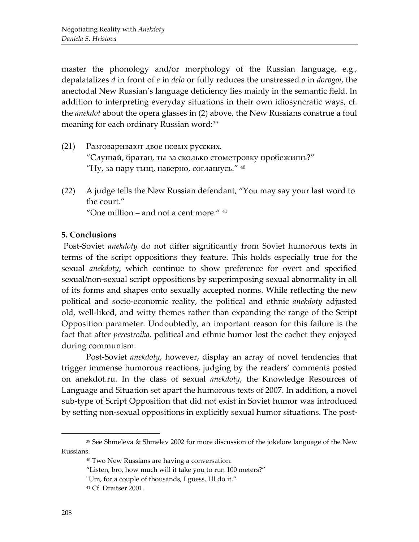master the phonology and/or morphology of the Russian language, e.g., depalatalizes *d* in front of *e* in *delo* or fully reduces the unstressed *o* in *dorogoi*, the anectodal New Russian's language deficiency lies mainly in the semantic field. In addition to interpreting everyday situations in their own idiosyncratic ways, cf. the *anekdot* about the opera glasses in (2) above, the New Russians construe a foul meaning for each ordinary Russian word: [39](#page-22-0)

- (21) Разговаривают двое новых русских. "Слушай, братан, ты за сколько стометровку пробежишь?" "Ну, за пару тыщ, наверно, соглашусь."  $40$
- (22) A judge tells the New Russian defendant, "You may say your last word to the court." "One million – and not a cent more."  $41$

## **5. Conclusions**

Post-Soviet *anekdoty* do not differ significantly from Soviet humorous texts in terms of the script oppositions they feature. This holds especially true for the sexual *anekdoty*, which continue to show preference for overt and specified sexual/non-sexual script oppositions by superimposing sexual abnormality in all of its forms and shapes onto sexually accepted norms. While reflecting the new political and socio-economic reality, the political and ethnic *anekdoty* adjusted old, well-liked, and witty themes rather than expanding the range of the Script Opposition parameter. Undoubtedly, an important reason for this failure is the fact that after *perestroika,* political and ethnic humor lost the cachet they enjoyed during communism.

Post-Soviet *anekdoty*, however, display an array of novel tendencies that trigger immense humorous reactions, judging by the readers' comments posted on anekdot.ru. In the class of sexual *anekdoty*, the Knowledge Resources of Language and Situation set apart the humorous texts of 2007. In addition, a novel sub-type of Script Opposition that did not exist in Soviet humor was introduced by setting non-sexual oppositions in explicitly sexual humor situations. The post-

- "Listen, bro, how much will it take you to run 100 meters?"
- "Um, for a couple of thousands, I guess, I'll do it."

<span id="page-22-2"></span><span id="page-22-1"></span><span id="page-22-0"></span><sup>39</sup> See Shmeleva & Shmelev 2002 for more discussion of the jokelore language of the New Russians.

<sup>40</sup> Two New Russians are having a conversation.

<sup>41</sup> Cf. Draitser 2001.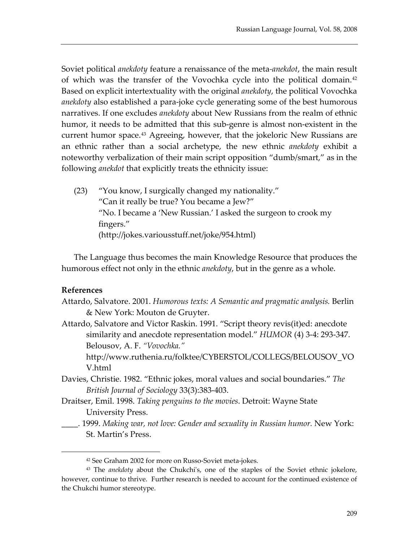Soviet political *anekdoty* feature a renaissance of the meta*-anekdot*, the main result of which was the transfer of the Vovochka cycle into the political domain. [42](#page-23-0) Based on explicit intertextuality with the original *anekdoty*, the political Vovochka *anekdoty* also established a para-joke cycle generating some of the best humorous narratives. If one excludes *anekdoty* about New Russians from the realm of ethnic humor, it needs to be admitted that this sub-genre is almost non-existent in the current humor space.<sup>[43](#page-23-1)</sup> Agreeing, however, that the jokeloric New Russians are an ethnic rather than a social archetype, the new ethnic *anekdoty* exhibit a noteworthy verbalization of their main script opposition "dumb/smart," as in the following *anekdot* that explicitly treats the ethnicity issue:

(23) "You know, I surgically changed my nationality." "Can it really be true? You became a Jew?" "No. I became a 'New Russian.' I asked the surgeon to crook my fingers." (http://jokes.variousstuff.net/joke/954.html)

The Language thus becomes the main Knowledge Resource that produces the humorous effect not only in the ethnic *anekdoty*, but in the genre as a whole.

## **References**

 $\overline{a}$ 

- Attardo, Salvatore. 2001. *Humorous texts: A Semantic and pragmatic analysis.* Berlin & New York: Mouton de Gruyter.
- Attardo, Salvatore and Victor Raskin. 1991. "Script theory revis(it)ed: anecdote similarity and anecdote representation model." *HUMOR* (4) 3-4: 293-347. Belousov, A. F. *"Vovochka."*

http://www.ruthenia.ru/folktee/CYBERSTOL/COLLEGS/BELOUSOV\_VO V.html

- Davies, Christie. 1982. "Ethnic jokes, moral values and social boundaries." *The British Journal of Sociology* 33(3):383-403.
- Draitser, Emil. 1998. *Taking penguins to the movies*. Detroit: Wayne State University Press.
- \_\_\_\_. 1999. *Making war, not love: Gender and sexuality in Russian humor.* New York: St. Martin's Press.

<sup>42</sup> See Graham 2002 for more on Russo-Soviet meta-jokes.

<span id="page-23-1"></span><span id="page-23-0"></span><sup>43</sup> The *anekdoty* about the Chukchi's, one of the staples of the Soviet ethnic jokelore, however, continue to thrive. Further research is needed to account for the continued existence of the Chukchi humor stereotype.